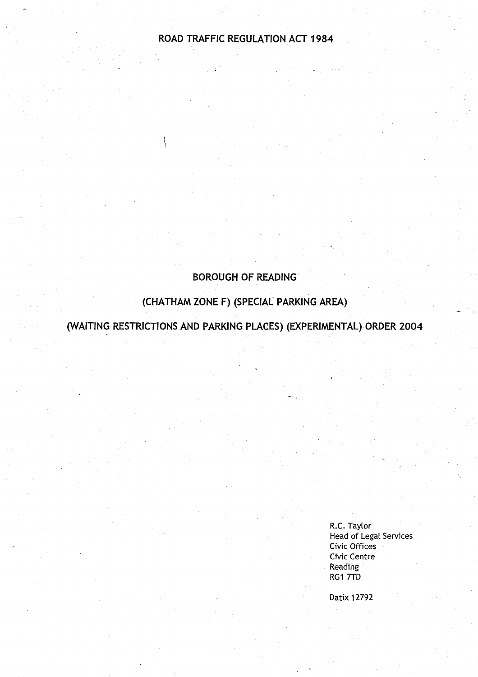# ROAD TRAFFIC **REGULATION** ACT 1984

# **BOROUGH OF READING**

# **(CHATHAM ZONE F) (SPECIAL PARKING AREA )**

(WAITING RESTRICTIONS **AND PARKING PLACES) (EXPERIMENTAL** ) **ORDER 2004**

R.C. Taylor **Head of Legal** Services Civic Offices Civic Centre **Reading** RG1 7TD

Datix 12792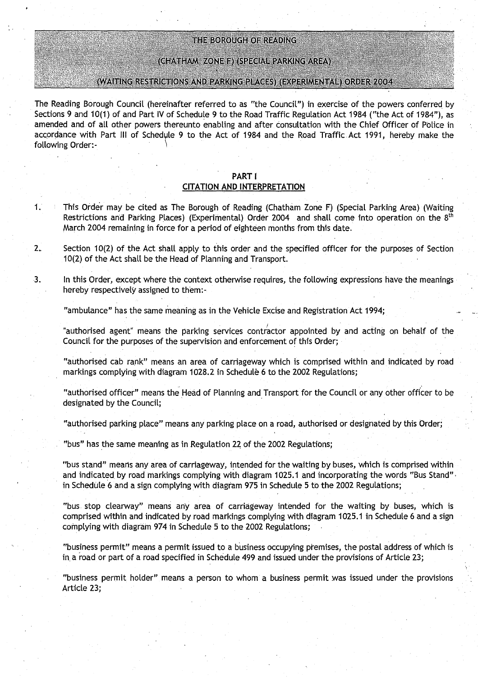#### THE BOROUGH OF READING

#### (CHATHAM ZONE F) (SPECIAL PARKING AREA)

#### (WAITING RESTRICTIONS AND PARKING PLACES) (EXPERIMENTAL) ORDER 2004

**The Reading Borough Council** (**hereinafter referred to as** the **Council"**) **in exercise of the powers conferred by Sections 9 and 10(1) of and Part IV of Schedule 9 to the Road** Traffic **Regulation Act 1984** ("**the Act of 1984"), as amended and** . **of all other powers thereunto enabling and after consultation with the Chief Officer of Police in accordance with Part III of Sched**y**le 9 to the Act of 1984 and the Road Traffic** . **Act 1991** , **hereby make the following Order :-**

#### **PART** I

#### **CITATION AND INTERPRETATION**

- <sup>1</sup> . This Order may be cited **as The Borough of Reading** (**Chatham Zone F) (Special Parking Area** ) (**Waiting Restrictions and Parking Places**) (**Experimental**) **Order 2004 and shall come into operation on the 8th March 2004 remaining in force for a period of eighteen months from this date .**
- **2.** Section 10(2) of the Act shall apply to this order and the specified officer for the purposes of Section **10(2) of the Act shall be the Head of Planning and Transport .**
- **<sup>3</sup> . In this Order**, **except where the context otherwise requires, the following expressions have the meanings hereby respectively assigned to them :**

**"ambulance** " **has the same meaning as in the Vehicle Excise and Registration** Act 1994 ;

"authorised agent" means the parking services contractor appointed by and acting on behalf of the **Council for the purposes of the supervision and enforcement of this Order;** 

**"authorised cab rank" means an area of carriageway which is comprised within and indicated by road markings** complying with **diagram 1028**.**2 in Schedule 6 to the 2002 Regulations;**

**"authorised officer" means the Head of Planning and** Transport **for the Council or any other officer to be designated by the Council ;**

**"authorised parking place** " **means any parking place on a road, authorised or designated by this** Order;

**"bus" has the same meaning as in Regulation 22 of the 2002 Regulations ;**

**"bus stand** " **means any area of carriageway** , **intended for the waiting by buses, which is comprised within** and indicated by road markings complying with diagram 1025.1 and incorporating the words "Bus Stand". **in Schedule 6 and a sign complying with diagram 975 in Schedule 5 to the 2002 Regulations ;**

**"bus . stop clearway** " **means any area of car**ri**ageway intended for the waiting by buses, which is comprised within and indicated by road markings complying with diagram 1025 .1 in Schedule 6 and a sign complying with diagram 974 in Schedule 5 to the 2002 Regulations;**

**"business permit** " **means a permit issued to a business occupying premises, the postal address** of which is **in. a road or part of a road specified in Schedule 499 and issued under the provisions** of Article 23 ;

**"business permit** holder" **means a person to whom a business permit was issued under the provisions Article 23;**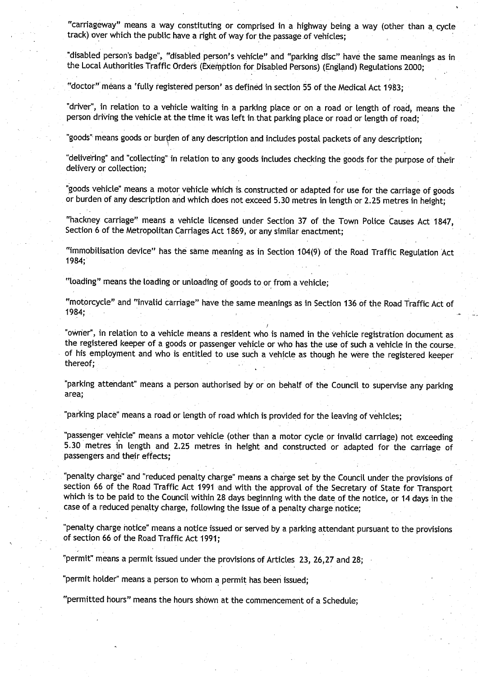"carriageway" means a way constituting or comprised in a highway being a way (other than a, cycle track) over which the public have a right of way for the passage of vehicles;

**"disabled person**'**s badge**", "**disabled person** '**s vehicle" and** "**parking disc** " **have the same meanings as in** the Local Authorities Traffic Orders (Exemption for Disabled Persons) (England) Regulations 2000;

"doctor" means a 'fully registered person' as defined in section 55 of the Medical Act 1983;

"**driver**", **in relation to a vehicle waiting in a parking place or on a road or length of road, means the** person driving the vehicle at the time it was left in that parking place or road or length of road;

" **goods** " **means goods or burden of any desc** ri**ption and includes postal packets of any desc**ri**ption;**

"delivering" and "collecting" in relation to any goods includes checking the goods for the purpose of their delivery or **collection;**

"goods vehicle" means a motor vehicle which is. constructed or adapted for use for the carriage of goods or burden of any description and which does not exceed 5 .30 metres in length or 2.25 metres in height;

"hackney carriage" means a vehicle licensed under Section 37 of the Town Police Causes Act 1847, Section 6 of the Metropolitan Carriages Act 1869, or any similar enactment;

"immobilisation device" has the same meaning as in Section 104(9) of the Road Traffic Regulation Act 1984;

**"loading" means the loading or unloading of goods to** or from a vehicle;

"motorcycle" and "invalid carriage" have the same meanings as in Section 136 of the Road Traffic Act of 1984;

"owner", in relation to a vehicle means a resident who is named in the vehicle registration document as the registered keeper of a goods or passenger vehicle or who has the use of such a vehicle in the course . of his employment and who is entitled to use such a vehicle as though he were the registered keeper thereof;

"parking attendant" means a person authorised by or on behalf of the Council to supervise any parking **area;**

"parking place" means a road or length of road which is provided for the leaving of vehicles;

passenger vehicle" means a motor vehicle (other than a motor cycle or invalid carriage) not exceeding 5.30 metres in length and 2 .25 metres in height and constructed or adapted for the carriage of **passengers and their effects;**

penalty charge" and "reduced penalty charge" means a charge set by the Council under the provisions of section 66 of the Road Traffic Act 1991 and with the approval of the Secretary of State for Transport which is to be paid to the Council within 28 days beginning with the date of the notice, or 14 days in the case of a reduced penalty charge, following the issue of a penalty charge notice;

"penalty charge notice" means a notice issued or served by a parking attendant pursuant to the provisions of section 66 of the Road Traffic Act 1991:

"permit" means a permit issued under the provisions of Articles 23, 26,27 and 28;

**"permit holder**" **means a person to whom a permit ha**s **been issued;**

"permitted hours" means the hours shown at the commencement of a Schedule;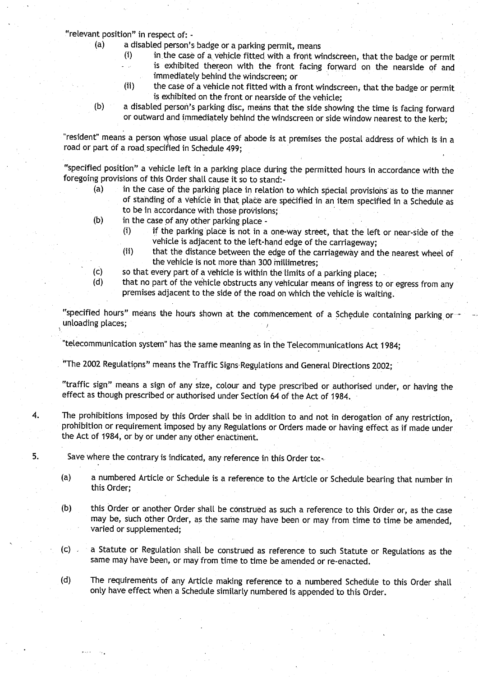**"relevant position**" **in respect of: -**

- **(a) a disabled person's badge or a parking permit, means**
	- **(i) in.the case of a. vehicle fitted with a front windscreen** , **that the badge or permit is exhibited thereon with the front facing forward on the nearside of and** immediately behind the windscreen; or
	- **(ii) the case of a vehicle not fitted with a front windscreen, that the badge or permit** is exhibited on the front or nearside of the vehicle;
- **(b) a disabled person's parking disc, means that the side showing the time is facing forward** or outward and immediately behind the windscreen or side window nearest to the kerb;

**"resident** " **means a person Whose usual place of abode is at premises the postal address of which is in a** road or part of a road specified in Schedule 499;

**"specified position** " **a vehicle left in a parking place during the permitted hours in accordance with the foregoing provisions of this Order shall cause it so to stand :-**

- **(a) in the case of the parking place in relation to which special provisions**' **as to the manner of standing of a vehicle in that place are specified in an item specified in a Schedule as to be in accordance with those provisions ;**
- **(b) in the case of any other parking place**
	- **(i) if the parking place is not in a one**-**way street**, **that the left or near**-**side of the vehicle is adjacent to the left-hand edge of the carriageway ;**
	- **(ii) that the distance between the edge of the carriageway and the nearest wheel of the vehicle is not more than 300 millimetres ;**
- **(c) so that eve**ry **part of a vehicle is within the limits of a parking place;**
- **(d) that no pa**rt **of the vehicle obstructs any vehicular means of ingress to or egress from any premises adjacent to the side of the road on which the vehicle is waiting.**

**"specified hours** " **means the hours shown at the commencement of a Schedule containing parking or unloading places;**

**"telecommunication system** " **has the same meaning as in the Telecommunications Act 1984 ;**

**"The 2002 Regulations**" **means the Traffic Signs. Regulations and General Directions 2002;**

**"traffic sign**" **means a sign of any size**, **colour and type prescribed or authorised under, or having the effect as though prescribed or authorised under Section 64 of the Act of 1984 .**

**4. The prohibitions imposed by this Order shall be in addition to and not in derogation of any restriction, prohibition or requirement imposed by any Regulations or Orders made or having effect as if made under the Act of 1984, or by or under any other enactment .**

**5.** Save where the contrary is indicated, any reference in this Order tor.

- (a) **a numbered Article or Schedule is a reference to the Article or Schedule bearing that number in this Order;**
- **(b) this Order or another Order** shalt **be construed as such a reference to this Order or, as the case may be, such other Order, as the same may have been or may from time to time be amended, varied or supplemented ;**
- **(c) a Statute or Regulation shall be construed as reference to such Statute or Regulations as the same may have been, or may from time to time be amended or re-enacted .**
- **(d) The requirements of any Article making reference to a numbered Schedule to this Order shall only have effect when a Schedule similarly numbered is appended to this Order .**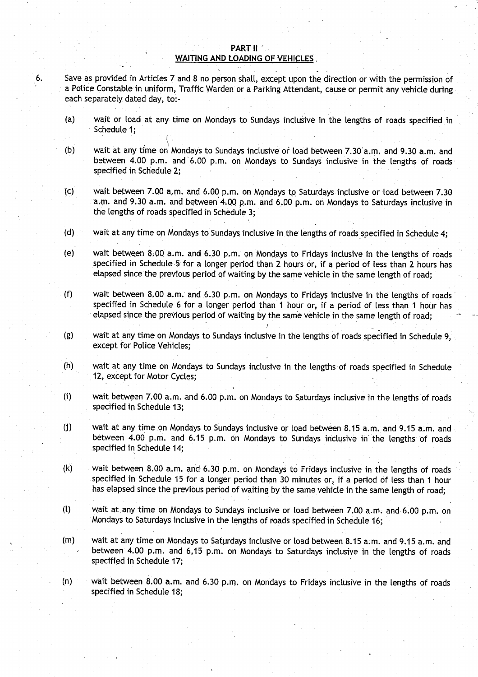#### PART II **WAITING AND LOADING OF VEHICLES**

- **<sup>6</sup> . Save as provided in Articles**. **7 and 8 no person shall, except upon the direction or with the permission of a Police Constable in uniform** , Traffic Warden **or a Parking Attendant**, **cause or permit any vehicle during each separately dated day, to :**
	- **(a) wait or load at any time on Mondays to Sundays inclusive in the lengths of roads specified in Schedule 1 ;**
	- **(b) wait at any time on** i **Mondays to Sundays inclusive or toad between 7.30'a .m . and 9 .30 a.m. and** between 4.00 p.m. and 6.00 p.m. on Mondays to Sundays inclusive in the lengths of roads **specified in Schedule 2 ,**
	- (c) wait between 7.00 a.m . and 6 .00 p.m. on Mondays to Saturdays inclusive or toad between 7 .30 **a.m. and 9 .30 a.m. and between 4** .**00 p.m**, **and 6**.**00 p.m . on Mondays to Saturdays inclusive in the lengths of roads specified in Schedule 3;**
	- **(d) wait at any time on Mondays to Sundays inclusive in the lengths of roads specified in Schedule 4 ;**
	- **(e) wait between 8.00 a .m . and 6.30 pm. on Mondays to Fridays inclusive in the lengths of roads specified in Schedule 5 for a longer period than 2 hours or**, **if a period of less than 2 hours has** elapsed since the previous period of waiting by the same vehicle in the same length of road;
	- **(f) wait between 8.00 a.m**. **and 6**.**30 p.m. on Mondays . to Fridays inclusive in the lengths of roads specified in Schedule 6 for a longer** period than **1 hour or, if a period of less than 1 hour has** elapsed since the previous period of waiting by the same vehicle in the same length of road;
	- (g) wait at any time on Mondays to Sundays inclusive in the lengths of roads specified in Schedule 9, except for Police Vehicles;
	- (h) wait at any time on Mondays to Sundays inclusive in the lengths of roads specified in Schedule 12, except for Motor Cycles;
	- (i) wait **between 7.00 a.m . .and 6.00 p**. **m. on Mondays to Saturdays inclusive in the lengths of roads** specified in Schedule 13;
	- (j) wait at any time on Mondays to Sundays inclusive or load between 8.15 a.m . and 9.15 a.m . and **between 4**. **00 p.m**. **and 6**. **15 p.m. on Mondays to Sundays inclusive in' the lengths of roads** specified in Schedule 14;
	- **(k) wait between 8.00 a.m. and 6.30 p**.**m. on Mondays to Fridays inclusive in the lengths of roads specified in Schedule 15 for a longer pe**ri**od than 30 minutes or, if a period of less than 1 hour** has elapsed since the previous period of waiting by the same vehicle in the same length of road;
	- **(t) wait at any time on Mondays to Sundays inclusive or load between 7.00 a.m. and 6 .00 p.m. on Mondays to Saturdays inclusive in the lengths of roads specified in Schedule 16 ;**
	- **(m) wait at any time on Mondays to Saturdays inclusive or load between 8 .15 a .m . and 9 .15 a .m. and between 4.00 p.m . and 6,15 p.m. on Mondays to Saturdays inclusive in the lengths of roads** specified in Schedule 17;
	- (n) wait between 8.00 a.m. and 6.30 p.m. on Mondays to Fridays inclusive in the lengths of roads **specified in Schedule 18;**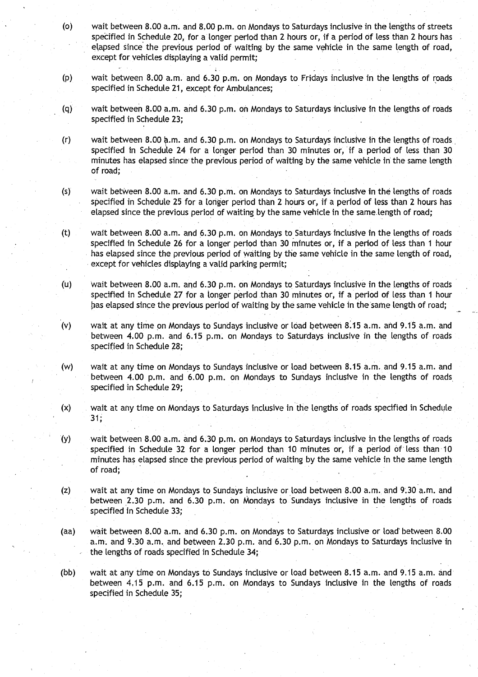- (o) wait between 8.00 a.m. and 8 .00 p.m . on Mondays to Saturdays inclusive in the lengths of streets specified in Schedule 20, for a longer period than 2 hours or, if a period of less than 2 hours has elapsed since the previous period of waiting. by the same vehicle in the same length of road, except for vehicles displaying a valid permit;
- (p) wait between 8.00 a.m . and 6.30 p.m. on Mondays to Fridays inclusive in the lengths of roads specified in Schedule 21, except for Ambulances;
- (q) wait between 8.00 a .m . and 6.30 p.m . on Mondays to Saturdays inclusive in the lengths of roads specified in Schedule 23;
- $(r)$  wait between 8.00 a.m. and 6.30 p.m. on Mondays to Saturdays inclusive in the lengths of roads specified in Schedule 24 for a longer period than 30 minutes or, if a period of less than 30 minutes has elapsed since the previous period of waiting by the same vehicle in the same length of road;
- (s) wait between 8.00 a.m. and 6.30 p.m. on Mondays to Saturdays inclusive in the lengths of roads specified in Schedule 25 for a longer period than 2 hours or, if a period of less than 2 hours has elapsed since the previous period of waiting by the same vehicle in the same length of road;
- (t) wait between 8.00 a.m. and 6.30 p.m. on Mondays to Saturdays inclusive in the lengths of roads specified in Schedule 26 for a longer period than 30 minutes or, if a period of less than 1 hour has elapsed since the previous period of waiting by the same vehicle in the same length of road, except for vehicles displaying a valid parking permit;
- (u) wait between 8.00 a.m. and 6.30 p.m. on Mondays to Saturdays inclusive in the lengths of roads specified in Schedule 27 for a longer period than 30 minutes or, if a period of less than 1 hour has elapsed since the previous period of waiting by the same vehicle in the same length of road;
- (v) wait at any time on Mondays to Sundays inclusive or load between 8.15 a .m. and 9 .15 a .m . and between 4.00 p.m. and 6.15 p.m. on Mondays to Saturdays inclusive in the lengths of roads specified in Schedule 28;
- (w) wait at any time on Mondays to Sundays inclusive or load between 8.15 a.m. and 9.15 a.m. and between 4.00 p.m. and 6.00 p.m. on Mondays to Sundays inclusive in the lengths of roads specified in Schedule 29;
- (x) wait at any time on Mondays to Saturdays inclusive in the lengths of roads specified in Schedule **31-**
- **(Y)** wait between 8 .00 a.m. and 6.30 p.m. on Mondays to Saturdays inclusive in the lengths of roads specified in Schedule 32 for a longer period than 10 minutes or, if a period of less than 10 minutes has elapsed since the previous period of waiting by the same vehicle in the same length of road;
- (z) wait at any time on Mondays to Sundays inclusive or load between 8 .00 a.m . and 9.30 a .m . and between 2.30 p.m. and 6.30 p.m. on Mondays to Sundays inclusive in the lengths of roads specified in Schedule 33;
- (aa) wait between 8.00 a.m . and 6.30 p.m. on Mondays to Saturdays inclusive or load between 8 .00 a.m. and 9.30 a.m. and between 2.30 p.m. and 6.30 p.m. on Mondays to Saturdays inclusive in the lengths of roads specified in Schedule 34;
- (bb) wait at any time on Mondays to Sundays inclusive or load between 8 .15 a .m . and 9.15 a.m. and between 4.15 p.m. and 6.15 p.m. on Mondays to Sundays inclusive in the lengths of roads specified in Schedule 35;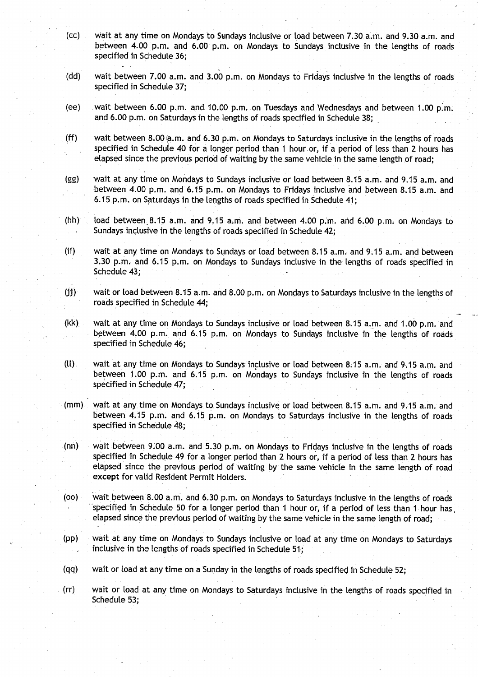- (cc) Wait at any time on Mondays to Sundays inclusive or load between 7 .30 a .m. and 9.30 a.m. and between 4.00 p.m. and 6.00 p.m. on Mondays to Sundays inclusive in the lengths of roads specified in Schedule 36;
- (dd) wait between 7 .00 a.m. and 3.00 p.m. on Mondays to Fridays inclusive in the lengths of roads specified in Schedule 37;
- (ee) wait between 6.00 p.m. and 10.00 p.m . on Tuesdays and Wednesdays and between 1 .00 **P.M .** and 6.00 p.m. on Saturdays in the lengths of roads specified in Schedule 38;
- (ff) wait between 8.00  $a.m.$  and 6.30 p.m. on Mondays to Saturdays inclusive in the lengths of roads specified in Schedule 40 for a longer period than 1 hour or, if a period of less than 2 hours has elapsed since the previous period of waiting by the same vehicle in the same length of road;
- (gg) wait at any time on Mondays to Sundays inclusive or load between 8 .15 a.m. and 9.15 a.m. and between 4.00 p.m. and 6.15 p.m. on Mondays to Fridays inclusive and between 8.15 a.m. and <sup>6</sup> .15 p.m. on Saturdays in the lengths of roads specified in Schedule 41 ;
- (hh) load between 8.15 a.m. and 9.15 a.m. and between 4.00 p.m. and 6.00 p.m. on Mondays to Sundays inclusive in the lengths of roads specified in Schedule 42;
- (ii) wait at any time on Mondays to Sundays or load between 8 .15 a.m. and 9 .15 a.m. and between 3.30 p.m. and 6.15 p.m. on Mondays to Sundays inclusive in the lengths of roads specified in Schedule 43;
- (jj) wait or load between 8 .15 a.m. and 8 .00 p.m . on Mondays to Saturdays inclusive in the lengths of roads specified in Schedule 44;
- (kk) wait at any time on Mondays to Sundays inclusive or load between 8.15 a.m. and 1.00 p.m. and between 4.00 p.m. and 6 .15 p.m. on Mondays to Sundays inclusive in the lengths of roads specified in Schedule 46;
- (ll) . wait at any time on. Mondays to Sundays inclusive or load between 8 .15 a.m . and 9.15 a .m. and between 1.00 p.m. and 6.15 p.m. on Mondays to Sundays inclusive in the lengths of roads specified in Schedule 47;
- (mm) wait at anytime on Mondays to Sundays inclusive or load between 8 .15 a.m. and 9.15 a.m. and between 4.15 p.m. and 6.15 p.m. on Mondays to Saturdays inclusive in the lengths of roads specified in Schedule 48;
- (nn) wait between 9.00 a.m. and 5.30 p.m. on Mondays to Fridays inclusive in the lengths of roads specified in Schedule 49 for a longer period than 2 hours or, if a period of less than 2 hours has elapsed since the previous period of waiting by the same vehicle in the same length of road except for valid Resident Permit Holders.
- (00) wait between 8.00 a.m and 6.30 p.m. on Mondays to Saturdays inclusive in the lengths of roads specified in Schedule 50 for a longer period than **<sup>I</sup>** hour or, if a period of less than 1 hour has . elapsed since the previous period of waiting by the same vehicle in the same length of road;
- (pp) wait at any time on Mondays to Sundays inclusive or load at any time on Mondays to Saturdays inclusive in the lengths of roads specified in Schedule 51;
- (qq) wait or load at any time on a Sunday in the lengths of roads specified in Schedule 52 ;
- (rr) wait or load at any time on Mondays to Saturdays inclusive in the lengths of roads specified in Schedule 53;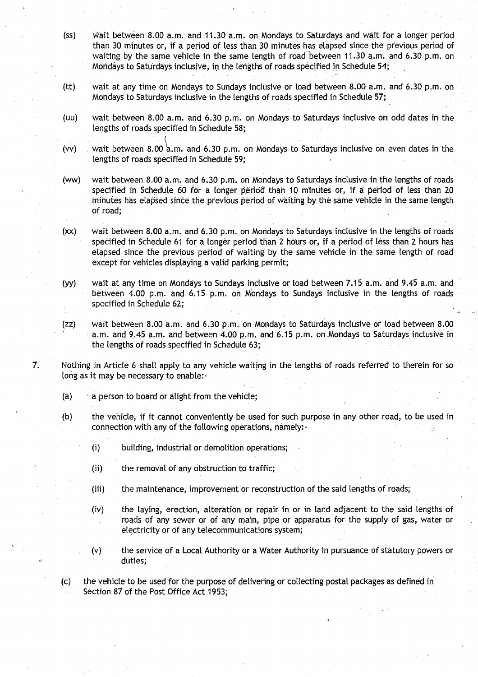- (ss) wait between 8.00 a.m. and 11 .30 a.m. on Mondays to Saturdays and wait for a longer period than 30 minutes or, if a period of less than 30 minutes has elapsed since the previous period of waiting by the same vehicle in the same length of road between 11.30 a.m. and 6.30 p.m. on Mondays to Saturdays inclusive, in the lengths of roads specified in Schedule 54;
- (tt) wait at any time on Mondays to Sundays inclusive or load between 8 .00 a.m . and 6 .30 p .m. on Mondays to Saturdays inclusive in the lengths of roads specified in Schedule 57;
- (uu) wait between 8 .00 a.m . and 6.30 p.m . on Mondays to Saturdays inclusive on odd dates in the lengths of roads specified in Schedule 58;
- (vv) wait between 8.00 a.m. and 6.30 p.m. on Mondays to Saturdays inclusive on even dates in the lengths of roads specified in Schedule 59;

(ww) wait between 8 .00 a .m . and 6 .30 p .m . on Mondays to Saturdays inclusive in the lengths of roads specified in Schedule 60 for a longer period than 10 minutes or, if a period of less than 20 minutes has elapsed since the previous period of waiting by the same vehicle in the same length of road;

(xx) wait between 8.00 a.m . and 6.30 p.m. on Mondays to Saturdays inclusive in the lengths of roads specified in Schedule 61 for a longer period than 2 hours or, if a period of less than 2 hours has elapsed since the previous period of waiting by the same vehicle in the same length of road except for vehicles displaying a valid parking permit;

(yy) wait at any time on Mondays to Sundays inclusive or load between 7.15 a.m. and 9.45 a.m. and between 4.00 p.m. and 6.15 p.m. on Mondays to Sundays inclusive in the lengths of roads specified in Schedule 62;

(zz) wait between 8.00 a .m . and 6 .30 p .m . on Mondays to Saturdays inclusive or load between 8 .00 a.m. and 9.45 a.m. and between 4.00 p.m. and 6.15 p.m. on Mondays to Saturdays inclusive in the lengths of roads specified in Schedule 63;

7. Nothing in Article 6 shall apply to any vehicle waiting in the lengths of roads referred to therein for so long as it may be necessary to enable:-

- (a)  $\rightarrow$  a person to board or alight from the vehicle;
- (b) the vehicle, if it cannot conveniently be used for such purpose in any other road, to be used in connection with any of the following operations, namely:-
	- (i) building, industrial or demolition operations;
	- $(ii)$  the removal of any obstruction to traffic;
	- (iii) the maintenance, improvement or reconstruction of the said lengths of roads;
	- (iv) the laying, erection, alteration or repair in or in land adjacent to the said lengths of roads of any sewer or of any main, pipe or apparatus 'for the supply of gas, water or electricity or of any telecommunications system;
	- (v) the service of a Local Authority or a Water Authority in pursuance of statutory powers or duties;

(c) the vehicle to be used for the purpose of delivering or collecting postal packages as defined in Section 87 of the Post Office Act 1953;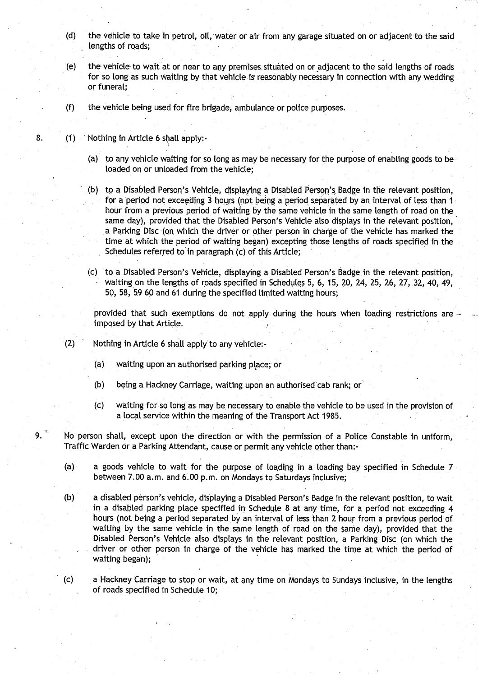- **(d) the vehicle to take in petrol**, **oil, water or air from any garage situated on or adjacent to the said lengths of roads;**
- **(e) the vehicle to wait at or near to any premises**. **situated on or adjacent to the said lengths of roads** for so long as such waiting by that vehicle is reasonably necessary in connection with any wedding **or funeral;**
- (**f) the vehicle being used for fire brigade** , **ambulance or police purposes.**
- **8. (1) Nothing in A**rt**icle 6 stall apply :-**
	- **(a) to any vehicle waiting for so long as may be necessa**ry **for the purpose of enabling goods to be** loaded on or unloaded from the vehicle;
	- **(b) to a Disabled Person**'**s Vehicle**., **displaying a Disabled Person's**. **Badge in the relevant position, for a period not exceeding 3 hours** (**not being a period separated by an**, **interval of less than I** hour from a previous period of waiting by the same vehicle in the same length of road on the **same day**), **provided that the Disabled Person's Vehicle also displays in the relevant position, a Parking Disc** (**on which the driver or other person in charge of the vehicle has marked the time at which the period of waiting began** ) **excepting those lengths of roads specified in the Schedules referred to'in paragraph. (c) of this Article ;**
	- **(c)** to **a Disabled Person's Vehicle, displaying a Disabled Person** '**s** badge **in the relevant position, waiting on the lengths of roads specified in Schedules 5, 6, 15, 20, 24, 25, 26, 27, 32, 40, 49, 50, 58**, **59 60 and 61 during the specified limited waiting hours;**

**provided that such exemptions do not apply during the hours when loading restrictions are imposed by that Article .**

- **(2) Nothing in Article 6 shall apply to any vehicle:-**
	- **(a) waiting upon an authorised parking place ; or**
	- **(b) being a Hackney Carriage, waiting upon an authorised cab rank ; or'**
	- **(c) waiting for so long as may be. necessa**ry **to enable the vehicle to be used in the provision of a local service within the meaning of the Transport Act 1985 .**

**9. No person shall, except upon the direction or with the permission of a Police Constable in uniform, Traffic Warden or a Parking Attendant** , **cause or permit any vehicle other than :-**

- **(a) a goods vehicle to wait for the purpose of loading in a loading bay specified in Schedule 7 between 7.00 a.m . and 6.00 p.m**. **on Mondays to Saturdays inclusive ;**
- **(b) a disabled person's vehicle** , **displaying a Disabled Person's Badge in the relevant position, to wait in a disabled parking place specified in Schedule 8 at any time** , **for a period not exceeding 4** hours (not being a period separated by an interval of less than 2 hour from a previous period of **waiting by the same vehicle in the same length of road on the same day), provided that the Disabled Person** '**s Vehicle also displays in the relevant position, a Parking Disc (on which the driver or other person in charge of the vehicle has marked the time at which the period of waiting began);**

**(c) a Hackney Car** ri**age to stop or wait, at any time on Mondays to Sundays inclusive** , **in the lengths of roads specified in Schedule 10 ;**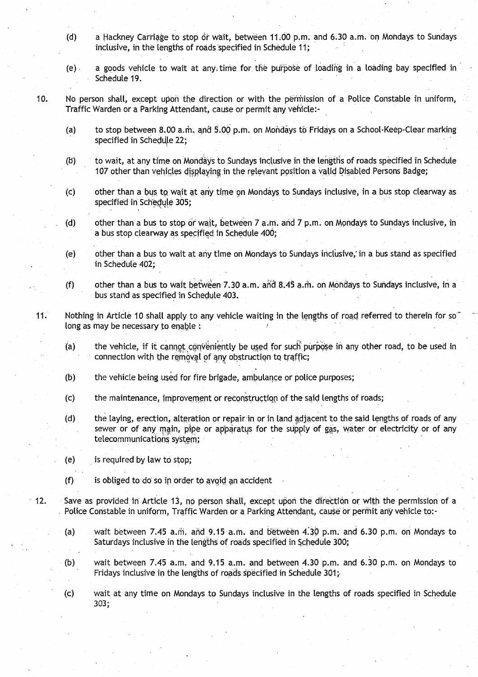- (d) a Hackney Carriage to stop or wait, between 11 .00 p.m . and 6.30 a.m. on Mondays to Sundays inclusive, in the lengths of roads specified in Schedule 11;
- (e) a goods vehicle to wait at any. time. for the purpose of loading in 'a loading bay specified in Schedule 19.
- 10. No person shalt, except upon the direction or with the permission of a Police Constable in uniform, Traffic Warden or a Parking Attendant, cause or permit any vehicle:-
	- (a) to stop between 8.00 a .m, and 5.00 p.m. on Mondays to Fridays on a School-Keep-Clear marking specified in Schedule 22;
	- (b) to wait, at any time on Mondays to Sundays inclusive in the lengths of roads specified in Schedule 107 other than vehicles displaying in the relevant position a valid Disabled Persons Badge;
	- (c) other than a bus tQ wait at any time on Mondays to Sundays inclusive, in a bus stop clearway as specified in Schedule 305;
	- (d) other than a bus to stop or wait, between  $7$  a.m. and  $7$  p.m. on Mondays to Sundays inclusive, in a bus stop clearway as specified in Schedule 400 ;
	- (e) other than a bus to wait at any time on Mondays to Sundays inclusive, in a bus stand as specified in Schedule 402:
	- (f) other than a bus to wait between 7.30 a .m . and 8.45 a.m. on Mondays to Sundays inclusive, in a bus stand as specified in Schedule 403.
- 11. Nothing in Article 10 shall apply to any vehicle waiting in the lengths of road referred to therein for so long as may be necessary to enable :
	- (a) the vehicle, if it cannot conveniently be used for such purpose in any other road, to be used in connection with the removal of any obstruction to traffic;
	- (b) the vehicle being used for fire brigade, ambulance or police purposes;
	- (c) the maintenance, improvement or reconstruction of the said lengths of roads ;
	- (d) . the. laying, erection, alteration or repair in or in land adjacent to the said lengths of roads of any sewer or of any main, pipe or apparatus for the supply of gas, water or electricity or of any telecommunications system;
	- (e) is required by law to stop;
	- $(f)$  is obliged to do so in order to avoid an accident
- 12 . Save as provided in Article 13, no person shall, except upon the direction or with the permission of a Police Constable in uniform, Traffic Warden or a Parking Attendant, cause or permit any vehicle to:-
	- (a) wait between 7.45 a.m. and 9.15 a.m. and between 4.30 p.m. and 6.30 p.m. on Mondays to Saturdays inclusive in the lengths of roads specified in Schedule 300;
	- (b) wait between 7.45 a.m. and 9.15 a.m. and between 4.30 p.m . and 6.30 p.m. on Mondays to Fridays inclusive in the lengths of roads specified in Schedule 301;
	- (c) wait at any time on Mondays to Sundays inclusive in the lengths of roads specified in Schedule **303;**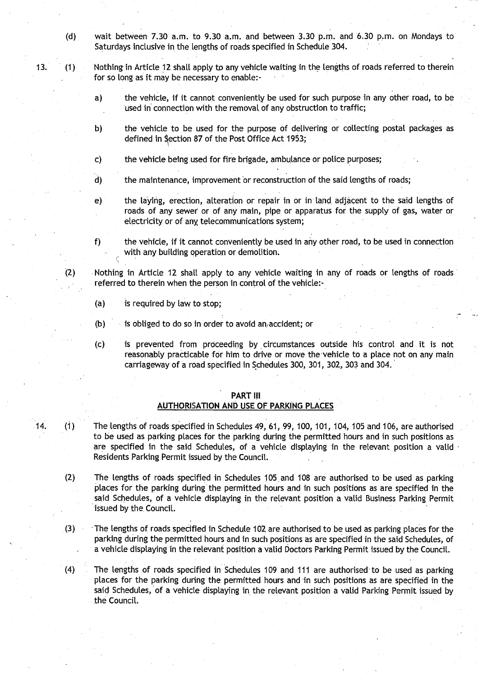- **(d) wait between 7.30 a.m . to 9 .30 a**. **m. and between 3** . **30 p .m . and 6**.**30 p.m** . **on Mondays to Saturdays inclusive in**. **the Lengths of roads specified in Schedule 304.**
- **<sup>13</sup> . (1) Nothing in Article 12 shalt apply to any vehicle waiting in the lengths of roads referred to therein for so long as it may be necessa**ry **to enable:**
	- **a) the vehicle**, **if it cannot conveniently be used for such purpose in any other road, to be used in connection with the removal**. **of any obstruction to traffic ;**
	- **b) the vehicle to be used for the purpose of delivering or collecting postal packages as defined in Qection 87 of the Post Office Act 1953 ;**
	- **c) the vehicle being used for fire brigade**, **ambulance or police purposes;**
	- **d) the maintenance, improvement or reconstruction of the said Lengths of roads ;**
	- **e)** the laying, erection, alteration or repair in or in land adjacent to the said lengths of **roads of any sewer or of any main**, **pipe or apparatus for the supply of gas, water or electricity or of any**, **telecommunications system;**

**f) the vehicle**, **if it cannot conveniently be used in any other road** , **to be used in connection with any building operation or demolition .**

**(2) Nothing in Article 12 shall apply to any vehicle waiting in any of roads or lengths of roads ' referred to therein when the person in control of the vehicle :-**

- **(a) is required by law to stop;**
- **(b) is obliged to do so in order to avoid an** , **accident; or**
- **(c) is prevented from proceeding by, circumstances outside his control and it is not reasonably practicable for him** to drive **or move the** • **vehicle to a place not on any main carriageway of a road specified in Schedules 300, 301** , **302, 303 and 304.**

#### **PART II i AUTHORISATION AND USE OF PARKING PLACES**

- **14. (1) The lengths of roads specified in Schedules 49, 61, 99, 100, 101, 104, 105 and 106**, **are authorised to be used as parking places for the parking during the permitted hours and in such positions as are specified in the said Schedules, of a vehicle displaying in the relevant position a valid - Residents Parking Permit issued by the Council .**
	- **(2) The lengths of roads specified in Schedules 105 . and 108 are autho**ri**sed to be used as parking places for the parking during the permitted hours and in such positions as are specified in the .said Schedules**, **of a vehicle displaying in the relevant position a valid Business Parking Permit issued by the, Council .**
	- **(3) -The lengths of roads specified in Schedule 102 . are authorised to be used as parking places for the parking during the permitted hours and in such positions as are specified in the said Schedules, of a vehicle displaying in the relevant position a valid Doctors Parking Permit issued by the Council .**
	- **(4) The lengths of roads specified in Schedules 109 and 111 are authorised to be used as parking places for the parking during the permitted hours and** -**in such positions as are specified in the said Schedules**, **of a vehicle displaying in the relevant position a valid** Parking **Permit issued by the Council.**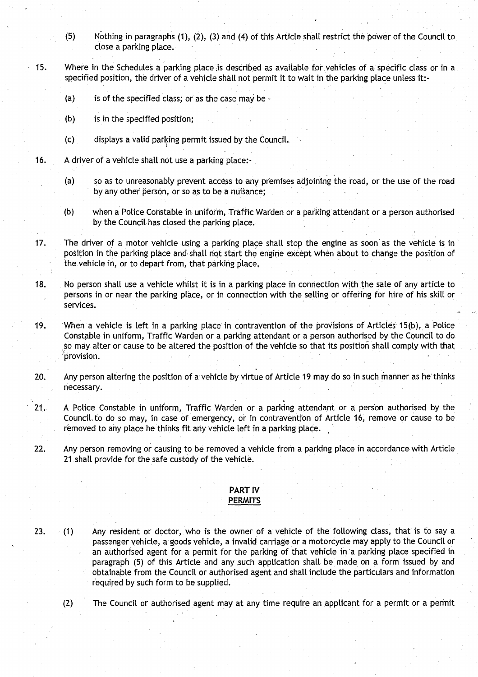- (5) Nothing in paragraphs (1), (2), (3) and (4) of this Article shalt restrict the power of the Council to close a parking place.
- 15. Where in the Schedules a parking place is described as available for vehicles of a specific class or in a specified position, the driver of a vehicle shall not permit it to wait in the parking place unless it:-
	- (a) is of the specified class; or as the case may be -
	- (b) is in the specified position;
	- (c) displays a valid parking permit issued by-the Council.
- 16. A driver of a vehicle shall not use a parking place:-
	- (a) so as to unreasonably prevent access to any premises adjoining the road, or the use of the road by any other person, or so as to be a nuisance;
	- (b) when a Police Constable in uniform, Traffic Warden or a parking attendant or a person authorised by the Council has closed the parking place.
- 17. The driver of a motor vehicle using a parking place shall stop the engine as soon as the vehicle is in position in the parking place and shall not start the engine except when about to change the position of the vehicle in, or to depart from, that parking place ,
- 18. No person shall use a vehicle whilst it is in a parking place in connection with the sate of any article to persons in or near the parking place, or in connection with the selling or offering for hire of his skill or services.
- 19. When a vehicle is left in a parking place in contravention of the provisions of Articles- 15(b), a Police Constable in uniform, Traffic Warden or a parking attendant or a person authorised by the Council to do so may alter or cause to be altered the position of the vehicle so that its position shall comply with that provision.
- 20. Any person altering the position of a vehicle by virtue of Article 19 may do so in such manner as he'thinks necessary.
- 21. A Police Constable in uniform, Traffic Warden or a parking attendant or a person authorised by the Council, to do so may, in case of emergency, or in contravention of Article 16, remove or cause to be removed to any place he thinks fit any vehicle left in a parking place.
- 22. Any person removing or causing to be removed a vehicle from a parking place in accordance with Article 21 shall provide for the safe custody of the vehicle.

#### PART IV **PERMITS**

23. (1) Any resident or doctor, who is the owner of a vehicle of the following class, that is to say <sup>a</sup> passenger vehicle, a goods vehicle, a invalid carriage or a motorcycle may apply to the Council or an authorised agent for a permit for the parking of that vehicle in a parking place specified in paragraph (5) of this Article and any .such application shall be made on a form issued by and obtainable from the Council or authorised agent and shall include the particulars and information required by such form to be supplied.

(2) The Council or authorised agent may at any time require an applicant for a permit or a permit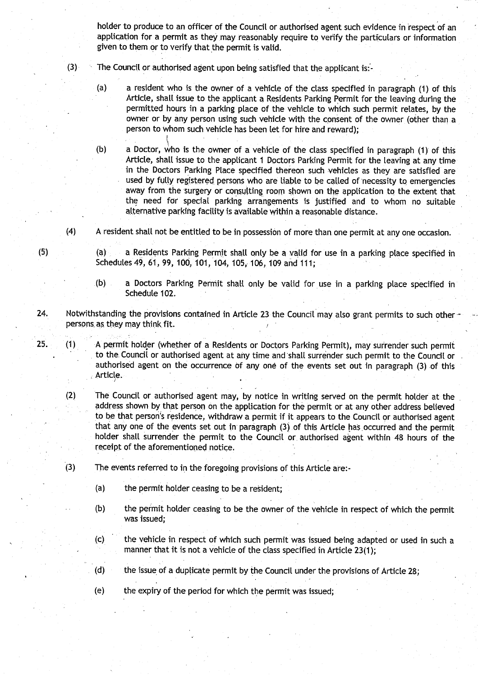holder to produce to an officer of the Council or authorised agent such evidence in respect of an application for a permit as they may reasonably require to verify the particulars or information given to them or to verify that the permit is valid.

- $(3)$  The Council or authorised agent upon being satisfied that the applicant is:
	- (a) a resident who is the owner of a vehicle of the class specified in paragraph (1) of this Article, shall issue to the applicant a Residents Parking Permit for the leaving during the permitted hours in a parking place of the vehicle to which such permit relates, by the owner or by any person using such vehicle with the consent of the owner (other than a person to whom such vehicle has been let for hire and reward);

(b) a Doctor, who is the owner of a vehicle of the class specified in paragraph (1) of this Article, shall issue to the applicant 1 Doctors Parking Permit for the leaving at any time in the Doctors Parking Place specified thereon such vehicles as they are satisfied are used by fully registered persons who are liable to be called of necessity to emergencies away from the surgery or consulting room shown on the application to the extent that the need for special parking arrangements is justified and to whom no suitable alternative parking facility is available Within a reasonable distance .

 $(4)$  A resident shall not be entitled to be in possession of more than one permit at any one occasion.

(55) (a) a Residents Parking Permit shall only be a valid for use in a parking place specified in Schedules 49, 61, 99, 100, 101, 104, 105, 106, 109 and 111 ;

- (b) a Doctors Parking Permit shall only be valid for use in a parking place specified in Schedule 102.
- 24. Notwithstanding the provisions contained in Article 23 the Council may also grant permits to such other persons as they may think fit.
- 25. (1) A permit holder (whether of a Residents or Doctors Parking Permit), may surrender such permit to the. Council or authorised agent at any time and 'shall surrender such permit to the Council or authorised agent on the occurrence of any one of the events set out in paragraph (3) of this Article.
	- (2) The Council or authorised agent may, by notice in writing served on the permit holder at the address shown by that person on the application for the permit or at any other address believed to be that person's residence, withdraw a permit if it appears to the Council or authorised agent that any one of the events set out in paragraph (3) of this Article has occurred and the permit holder shall surrender the permit to the Council or authorised agent within 48 hours of the receipt of the aforementioned notice .
	- (3) The events referred to in the foregoing provisions of this Article are:-
		- $(a)$  the permit holder ceasing to be a resident;
		- (b) the permit holder ceasing to be the owner of the vehicle in respect of which the permit was issued;
		- (c) the vehicle in respect of which such permit was issued being adapted or used in such a manner that it is not a vehicle of the class specified in Article 23(1);
		- (d) the issue of a duplicate permit by the Council under the provisions of Article 28;
		- (e) the expiry of the period for which the permit was issued;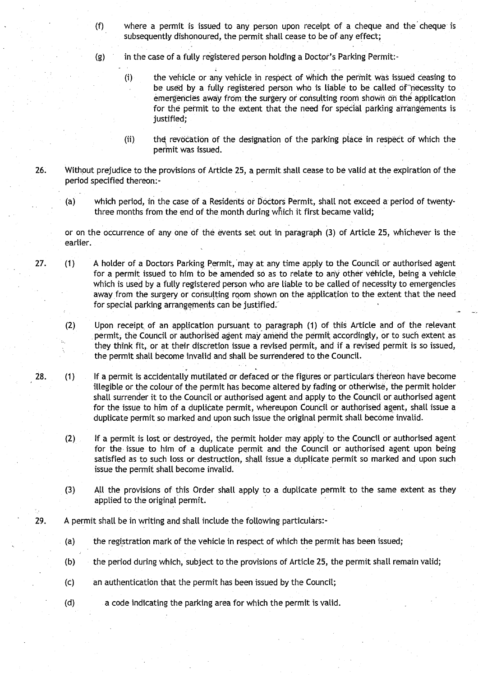- **(f) where a permit is issued to any person upon receipt of a cheque and the cheque is subsequently dishonoured** , **the permit shall cease to be of any** effect;
- **(g) in the case of a fully registered person holding a** Doctor's **Parking Permit :-**
	- **(i) the vehicle** or any vehicle **in respect of which the permit was issued ceasing to be used by a fully registered person who is liable to be called of-necessity to emergencies away from the surge**ry **or consulting room shown on the application** for the permit **to the extent that the need** for special **parking arrangements is justified;**
	- (ii) the revocation of the designation of the parking place in respect of which the **permit was issued .**
- **26. Without prejudice to the provisions of Article 25, a permit shall cease to be valid at the expiration of the period specified thereon :-**
	- **(a) which period**, **in the case of a Residents or Doctors Permit, shall not exceed a period of** twenty**three months from the end of the month during which it first became valid ;**

**or on the occurrence of any one of the events set out in paragraph** (**3) of A**rt**icle 25**, **whichever is the earlier.**

- 27. (1) A holder **of a Doctors Parking Permit,** '**may at any time apply to the Council or authorised agent for a permit issued to him to be amended so as to relate to any other vehicle** , **being a vehicle. which is used by a fully registered person who are liable to be called of necessity to emergencies away from the surge**ry **or consulting room shown on the** application **to the extent that the need .** for special parking arrangements can be justified.
	- **(2) Upon receipt**, **of an application pursuant to paragraph** (**1) of this Article and of the relevant permit**, **the Council or authorised agent may amend the permit accordingly** , **or to such extent as** they think fit, or at their discretion issue a revised permit, and if a revised permit is so issued, **the permit shall become invalid and shall be surrendered to the Council .**
- **28 . (1) If a permit is accidentally mutilated or defaced or the figures or particulars thereon have become illegible or the colour of the permit has become altered by fading or otherwise** , **the permit holder shall surrender it to the Council or authorised agent and apply to the Council or authorised agent for the issue to him of a duplicate permit**, **whereupon Council or authorised agent, shall issue a duplicate permit so marked and upon such issue the original permit shall become invalid .**
	- **(2) If a permit is lost or destroyed** , **the permit** holder may apply to the **Council or authorised agent for the issue to him of a duplicate permit and the Council or authorised agent upon being satisfied as to such loss or destruction, shall issue a duplicate permit so marked and upon such issue the permit shall become invalid.**
	- **(3) All the provisions of this Order shall apply to a duplicate permit to the same extent as they applied to the original permit.**
- **29. A permit shall be in writing and shall include the following particulars:-**
	- (a) the registration mark of the vehicle in respect of which the permit has been issued;
	- **(b) the period during which**, **subject to the provisions of Article 25, the permit shall remain valid ;**
	- **(c) an authentication that the permit has been issued by the Council ;**
	- (**d) a code indicating the parking area for which the permit is valid .**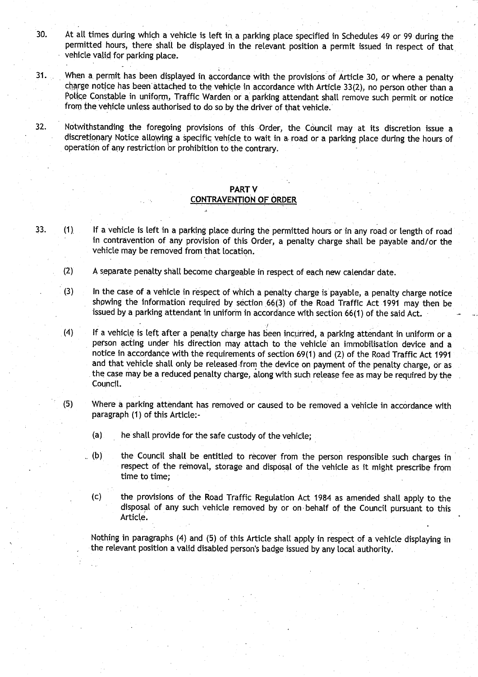- 30. At all times during which a vehicle is left in a parking place specified in Schedules 49 or 99 during the permitted hours, there shall be displayed in the relevant position a permit issued in respect of that vehicle valid for parking place.
- 31. When a permit has been displayed in accordance with the provisions of Article 30, or where a penalty charge notice has been attached to. the vehicle in accordance with Article 33(2), no person other than a Police Constable in uniform, Traffic Warden or a parking attendant shall remove such permit or notice from the vehicle unless authorised to do so by the driver of that vehicle .
- 32. Notwithstanding the foregoing provisions of this Order, the Council may at its discretion issue a discretionary Notice allowing a specific vehicle to wait in a• road or a parking place during the hours of operation of any restriction or prohibition to the contrary .

#### PART V CONTRAVENTION OF ORDER

- 33. (1). If a vehicle is left in a parking place during the permitted hours or in any road or length of road in contravention of any provision of this Order, a penalty charge shall be payable and/or the vehicle may be removed from that location.
	- (2) A separate penalty shall become chargeable in respect of each new calendar date .

(3) In the case of a vehicle in respect of which a penalty charge is payable, a penalty charge notice showing the information required by section 66(3) of the Road Traffic Act 1991 may then be issued by a parking attendant in uniform in accordance with section 66(1) of the said Act.

.(4) If a vehicle is left after a penalty charge has been incurred, a parking attendant in uniform or a person acting under his direction may attach to the vehicle' an immobilisation device and a notice in accordance with the requirements of section 69(1) and (2) of the Road Traffic Act 1991 and that vehicle shall only be released from the device on payment of the penalty charge, or as the case may be a reduced penalty charge, along with such release fee as may be required by the Council.

- ( **<sup>5</sup>** ) Where a parking attendant has removed or caused to be removed a vehicle in accordance with paragraph (1) of this Article:-
	- (a) he shall provide for the safe custody of the vehicle;
	- (b) the Council shall be entitled to recover from the person responsible such charges in respect of the removal, storage and disposal of the vehicle as it might prescribe from time to time;
		- (c) the provisions of the Road Traffic Regulation Act 1984 as amended shall apply to the disposal of any such vehicle removed by or on, behalf of the Council pursuant to this Article.

Nothing in paragraphs (4) and (5) of this Article shall apply in respect of a vehicle displaying in the relevant position a valid disabled person's badge issued by any local authority .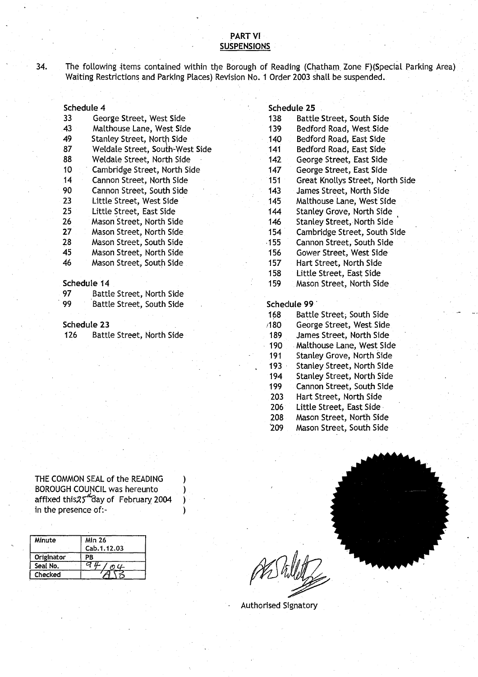#### PART VI **SUSPENSION S**

34. The following items contained within the Borough of Reading (Chatham Zone F)(Special Parking Area) Waiting Restrictions and Parking Places) Revision No. 1 Order 2003 shall be suspended.

| Schedule 4 |                                 |         | Schedule 25                       |
|------------|---------------------------------|---------|-----------------------------------|
| 33         | George Street, West Side        | 138     | Battle Street, South Side         |
| 43         | Malthouse Lane, West Side       | 139     | Bedford Road, West Side           |
| 49         | Stanley Street, North Side.     | 140     | Bedford Road, East Side           |
| 87         | Weldale Street, South-West Side | 141     | Bedford Road, East Side           |
| 88         | Weldale Street, North Side      | 142     | George Street, East Side          |
| 10         | Cambridge Street, North Side    | 147     | George Street, East Side          |
| 14         | Cannon Street, North Side       | 151     | Great Knollys Street, North Side  |
| 90         | Cannon Street, South Side       | 143     | James Street, North Side          |
| 23         | Little Street, West Side        | $145 -$ | Malthouse Lane, West Side         |
| 25         | Little Street, East Side        | 144     | <b>Stanley Grove, North Side</b>  |
| 26         | Mason Street, North Side        | 146     | <b>Stanley Street, North Side</b> |
| 27         | Mason Street, North Side        | 154     | Cambridge Street, South Side      |
| 28         | Mason Street, South Side        | $-155$  | Cannon Street, South Side         |
| 45         | Mason Street, North Side        | 156     | Gower Street, West Side           |
| 46         | Mason Street, South Side        | 157     | Hart Street, North Side           |
|            |                                 | .       | 1966 - Charles March Chair        |

| -97 | Battle Street, North Side |
|-----|---------------------------|
| -99 | Battle Street, South Side |

THE COMMON SEAL of the READING BOROUGH COUNCIL was hereunto affixed this 25<sup>"</sup> day of February 2004<br>in the presence of:-THE COMMON SEAL of the READING<br>BOROUGH COUNCIL was hereunto<br>affixed this 25 day of February 2004<br>in the presence of:-<br>by the presence of:-

| Minute     | <b>Min 26</b><br>Cab. 1.12.03 |
|------------|-------------------------------|
| Originator | ΡR                            |
| Seal No.   | m                             |
| Checked    |                               |

#### **Schedule 25**

| 33 | George Street, West Side          | 138     | Battle Street, South Side         |
|----|-----------------------------------|---------|-----------------------------------|
| 43 | Malthouse Lane, West Side         | 139     | Bedford Road, West Side           |
| 49 | <b>Stanley Street, North Side</b> | 140     | Bedford Road, East Side           |
| 87 | Weldale Street, South-West Side   | 141     | Bedford Road, East Side           |
| 88 | Weldale Street, North Side        | 142     | George Street, East Side          |
| 10 | Cambridge Street, North Side      | 147     | George Street, East Side          |
| 14 | Cannon Street, North Side         | 151     | Great Knollys Street, North Side  |
| 90 | Cannon Street, South Side         | 143     | James Street, North Side          |
| 23 | Little Street, West Side          | $145 -$ | Malthouse Lane, West Side         |
| 25 | Little Street, East Side          | 144     | Stanley Grove, North Side         |
| 26 | Mason Street, North Side          | 146     | <b>Stanley Street, North Side</b> |
| 27 | Mason Street, North Side          | 154     | Cambridge Street, South Side      |
| 28 | Mason Street, South Side          | 155     | Cannon Street, South Side         |
| 45 | Mason Street, North Side          | 156     | Gower Street, West Side           |
| 46 | Mason Street, South Side          | 157     | Hart Street, North Side           |
|    |                                   | 158     | Little Street, East Side          |
|    | Schedule 14                       | 159     | Mason Street, North Side          |
|    |                                   |         |                                   |

#### Schedule 99

168 Battle Street; South Side

- **Schedule 23** 180 George Street, West Side
- 126 Battle Street, North Side<br>189 James Street, North Side<br>190 Malthouse Lane, West Sid
	- 190 Malthouse Lane, West Side<br>191 Stanley Grove, North Side
	- Stanley Grove, North Side 193 Stanley Street, North Side
	- 194 Stanley Street, North Side
	- 199 Cannon Street, South Side
	- 203 Hart Street, North Side
	- 206 Little Street, East Side
	-
	- 208 Mason Street, North Side<br>209 Mason Street, South Side Mason Street, South Side
		-

Authorised Signatory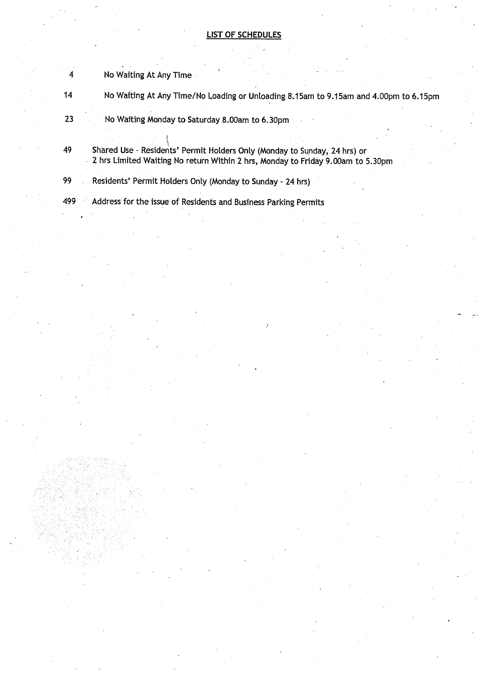#### **LIST OF SCHEDULES**

- **4** No Waiting At Any Time
- **14 No Wafting At Any Time/No Loading or Unloading 8.15am to 9.15am and 4 .00pm to 6.15pm**
- **23 No Waiting Monday to Saturday 8.00am to 6.30pm**
- **49 Shared User Residents** ' **Permit Holders Only (Monday to Sunday** , **24 hrs) or 2 hrs Limited Waiting No return Within 2 hrs, Monday to Friday 9 .00am to 5.30pm**
- **99 Residents**' **Permit Holders Only (Monday to Sunday 24 hrs)**
- **499 Address for the issue of Residents and Business Parking Permits**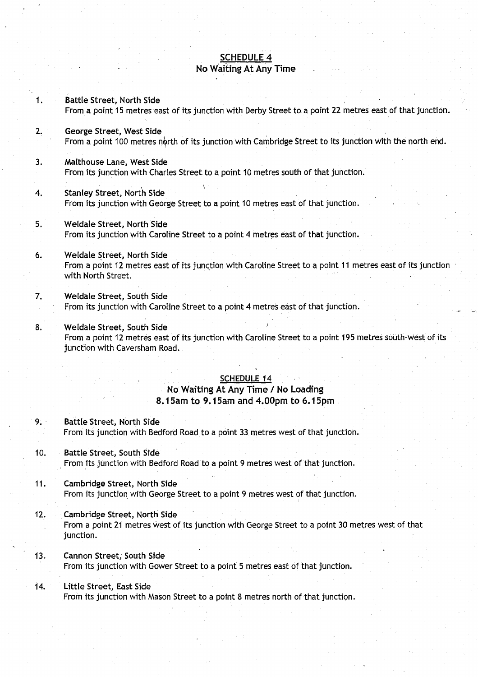# <u>SCHEDULE 4</u> No Waiting At Any Time

| 1.  | Battle Street, North Side<br>From a point 15 metres east of its junction with Derby Street to a point 22 metres east of that junction.                                  |
|-----|-------------------------------------------------------------------------------------------------------------------------------------------------------------------------|
| 2.  | George Street, West Side<br>From a point 100 metres north of its junction with Cambridge Street to its junction with the north end.                                     |
| 3.  | Malthouse Lane, West Side<br>From its junction with Charles Street to a point 10 metres south of that junction.                                                         |
| 4.  | <b>Stanley Street, North Side</b><br>From its junction with George Street to a point 10 metres east of that junction.                                                   |
| 5.  | Weldale Street, North Side<br>From its junction with Caroline Street to a point 4 metres east of that junction.                                                         |
| 6.  | Weldale Street, North Side<br>From a point 12 metres east of its junction with Caroline Street to a point 11 metres east of its junction<br>with North Street.          |
| 7.  | Weldale Street, South Side<br>From its junction with Caroline Street to a point 4 metres east of that junction.                                                         |
| 8.  | Weldale Street, South Side<br>From a point 12 metres east of its junction with Caroline Street to a point 195 metres south-west of its<br>junction with Caversham Road. |
|     | <b>SCHEDULE 14</b><br>No Waiting At Any Time / No Loading<br>8.15am to 9.15am and 4.00pm to 6.15pm                                                                      |
| 9.1 | Battle Street, North Side<br>From its junction with Bedford Road to a point 33 metres west of that junction.                                                            |
| 10. | <b>Battle Street, South Side</b><br>From its junction with Bedford Road to a point 9 metres west of that junction.                                                      |
| 11. | Cambridge Street, North Side<br>From its junction with George Street to a point 9 metres west of that junction.                                                         |
| 12. | Cambridge Street, North Side<br>From a point 21 metres west of its junction with George Street to a point 30 metres west of that<br>junction.                           |
| 13. | Cannon Street, South Side<br>From its junction with Gower Street to a point 5 metres east of that junction.                                                             |
| 14. | Little Street, East Side<br>From its junction with Mason Street to a point 8 metres north of that junction.                                                             |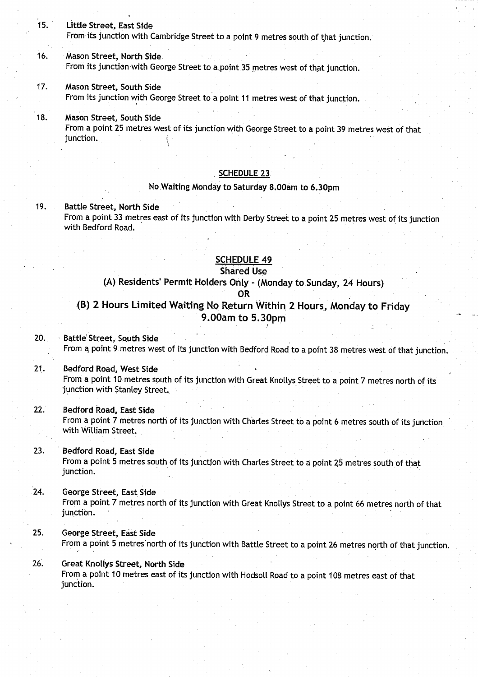**15. Little Street**, **East Side**

From its junction with Cambridge Street to a point 9 metres south of that junction .

**16. Mason Street, North Side .** From its junction with George Street to a point 35 metres west of that junction.

# **17. Mason Street, South Side**

From its junction with George Street to a point 11 metres west of that junction.

**18 . Mason Street, South Side**

From a point 25 metres west of its junction with George Street to a point 39 metres west of that junction.

. . .. .. .. . .. ..

### **SCHEDULE 2 3**

#### **No .Waiting** Monday to Saturday **8.00am to 6.30pm**

## **19. Battle Street**, **North Side**

From a point 33 metres **east** of its junction with Derby Street to a point 25 metres west of its junction with Bedford Road.

#### SCHEDULE 49

## **Shared Use**

# **(A) Residents**' **Permit Holders** Only - (Monday **to Sunday**, 24 Hours)

**OR**

# **(B) 2 Hours Limited Waiting No** Return Within . **2 Hours**., Monday to Frida y **9 .OOam to 5 .30pm**

**20. Battle**' **Street**, **South Side**

From a point 9 metres west of its junction with Bedford Road to a point 38 metres west of that junction.

#### **21. . Bedford Road**, **West Side**

From a point 10 metres south of its junction with Great Knollys Street to a point 7 metres north of its junction with Stanley Street.

## 22. Bedford **Road**, **East Side**

From a point 7 metres north of its junction with Charles Street to a point 6 metres south of its junction with William Street.

# 23. Bedford **Road**, **East Side**

From a point 5 metres south of its junction with Charles Street to a point 25 metres south of that junction.

### 24. George **Street**, **East. Side**

From a point 7 metres north of its junction with Great Knollys Street to a point 66 metres north of that junction.

#### **25 . George Street**, **East Side**

From a point 5 metres north of its junction with Battle Street to a point 26 metres north of that junction.

# **26. Great Knollys Street**, **North Side**

From a point 10 metres east of its junction with Hodsoll Road to a point 108 metres east of that junction.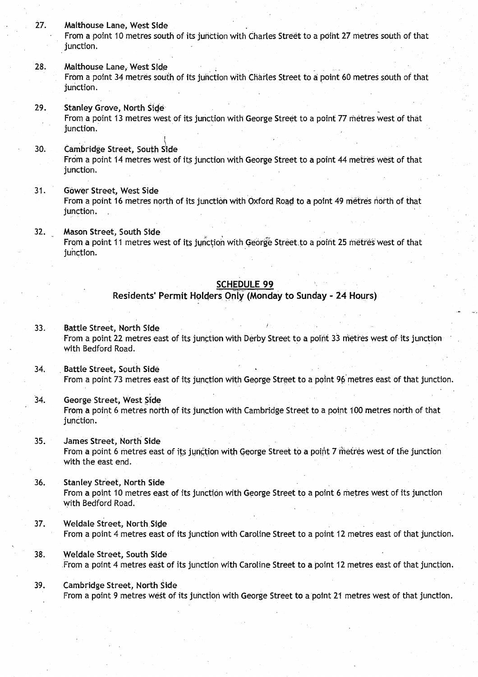#### **27. Malthouse Lane, West Side**

From a point 10 metres south of its junction with Charles Street to a point 27 metres south of that **junction .**

- **28. Malthouse Lane, West Side** From a point 34 metres south of its junction with Charles Street to a point 60 metres south of that junction.
- **29. Stanley Grove**, **No**rt**h Side** From a point 13 metres west of its junction with George Street to a point 77 metres west of that junction.
- **30.** Cambridge Street, South Side From a point 14 metres west of its junction with George Street to a point 44 metres west of that junction.
- **<sup>31</sup> . Gawer Street**, **West Side** From a point 16 metres north of its junction with Oxford. Road to a point 49 metres north of that junction.
- **32 . Mason Street**, **South Side** From a point 11 metres west of its junction with George Street to a point 25 metres west of that junction.

# **SCHEDULE 9 9**

**Residents**' **Permit Holders**. **Only (Monday to Sunday** - **24 Hours)**

- **<sup>33</sup> . Battle Street**, **North Side** From a point 22 metres east of its junction with Derby Street to a point 33 metres west of its junction with Bedford Road.
- **34. Battle Street**, **South Side** From a point 73 metres east of its junction with George Street to a point 96 metres east of that junction.
- **34. George Street, West Side** From a point 6 metres north of its junction with Cambridge Street to a point 100 metres north of that junction.
- **35 . James Street, North Side** From a point 6 metres east of its junction with George Street to a point 7 metres west of the junction with the east end.
- **36. Stanley Street, North Side** From a point 10 metres east of its junction with George Street to a point 6 metres west of its junction with Bedford Road.
- **37. Weldale Street, North .Side** From a point 4 metres east of its junction with Caroline Street to a point 12 metres east of that junction .
- **38. Weldale Street**, **South Side** .From a point 4 metres east of its junction with Caroline Street to a point 12 metres east of that junction .
- **<sup>39</sup> . Cambridge Street**, **North Side** From a point 9 metres west of its junction with George Street to a point 21 metres west of that junction .